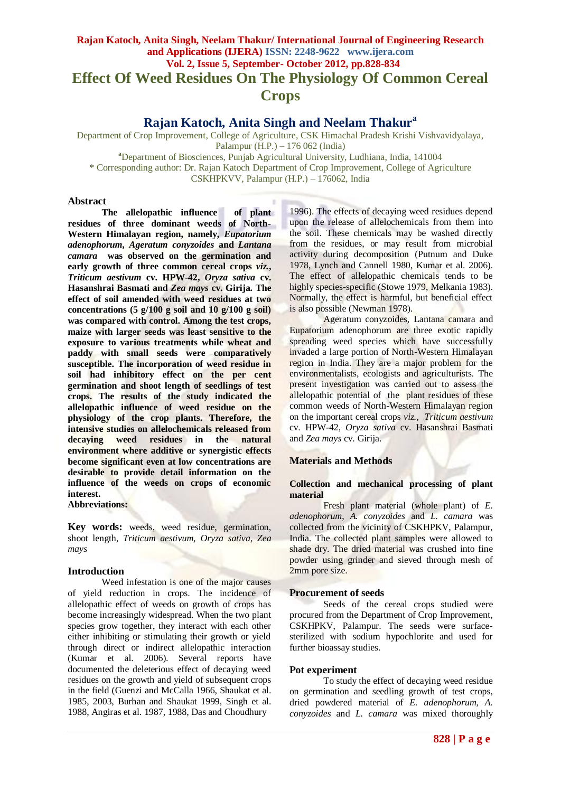# **Rajan Katoch, Anita Singh, Neelam Thakur/ International Journal of Engineering Research and Applications (IJERA) ISSN: 2248-9622 www.ijera.com Vol. 2, Issue 5, September- October 2012, pp.828-834 Effect Of Weed Residues On The Physiology Of Common Cereal Crops**

**Rajan Katoch, Anita Singh and Neelam Thakur<sup>a</sup>**

Department of Crop Improvement, College of Agriculture, CSK Himachal Pradesh Krishi Vishvavidyalaya, Palampur (H.P.) – 176 062 (India)

**<sup>a</sup>**Department of Biosciences, Punjab Agricultural University, Ludhiana, India, 141004

\* Corresponding author: Dr. Rajan Katoch Department of Crop Improvement, College of Agriculture

CSKHPKVV, Palampur (H.P.) – 176062, India

# **Abstract**

**The allelopathic influence of plant residues of three dominant weeds of North-Western Himalayan region, namely,** *Eupatorium adenophorum***,** *Ageratum conyzoides* **and** *Lantana camara* **was observed on the germination and early growth of three common cereal crops** *viz.***,** *Triticum aestivum* **cv. HPW-42,** *Oryza sativa* **cv. Hasanshrai Basmati and** *Zea mays* **cv. Girija. The effect of soil amended with weed residues at two concentrations (5 g/100 g soil and 10 g/100 g soil) was compared with control. Among the test crops, maize with larger seeds was least sensitive to the exposure to various treatments while wheat and paddy with small seeds were comparatively susceptible. The incorporation of weed residue in soil had inhibitory effect on the per cent germination and shoot length of seedlings of test crops. The results of the study indicated the allelopathic influence of weed residue on the physiology of the crop plants. Therefore, the intensive studies on allelochemicals released from decaying weed residues in the natural environment where additive or synergistic effects become significant even at low concentrations are desirable to provide detail information on the influence of the weeds on crops of economic interest.**

**Abbreviations:**

**Key words:** weeds, weed residue, germination, shoot length, *Triticum aestivum*, *Oryza sativa*, *Zea mays*

# **Introduction**

Weed infestation is one of the major causes of yield reduction in crops. The incidence of allelopathic effect of weeds on growth of crops has become increasingly widespread. When the two plant species grow together, they interact with each other either inhibiting or stimulating their growth or yield through direct or indirect allelopathic interaction (Kumar et al. 2006). Several reports have documented the deleterious effect of decaying weed residues on the growth and yield of subsequent crops in the field (Guenzi and McCalla 1966, Shaukat et al. 1985, 2003, Burhan and Shaukat 1999, Singh et al. 1988, Angiras et al. 1987, 1988, Das and Choudhury

1996). The effects of decaying weed residues depend upon the release of allelochemicals from them into the soil. These chemicals may be washed directly from the residues, or may result from microbial activity during decomposition (Putnum and Duke 1978, Lynch and Cannell 1980, Kumar et al. 2006). The effect of allelopathic chemicals tends to be highly species-specific (Stowe 1979, Melkania 1983). Normally, the effect is harmful, but beneficial effect is also possible (Newman 1978).

Ageratum conyzoides, Lantana camara and Eupatorium adenophorum are three exotic rapidly spreading weed species which have successfully invaded a large portion of North-Western Himalayan region in India. They are a major problem for the environmentalists, ecologists and agriculturists. The present investigation was carried out to assess the allelopathic potential of the plant residues of these common weeds of North-Western Himalayan region on the important cereal crops *viz.*, *Triticum aestivum* cv. HPW-42, *Oryza sativa* cv. Hasanshrai Basmati and *Zea mays* cv. Girija.

# **Materials and Methods**

## **Collection and mechanical processing of plant material**

Fresh plant material (whole plant) of *E. adenophorum*, *A. conyzoides* and *L. camara* was collected from the vicinity of CSKHPKV, Palampur, India. The collected plant samples were allowed to shade dry. The dried material was crushed into fine powder using grinder and sieved through mesh of 2mm pore size.

## **Procurement of seeds**

Seeds of the cereal crops studied were procured from the Department of Crop Improvement, CSKHPKV, Palampur. The seeds were surfacesterilized with sodium hypochlorite and used for further bioassay studies.

## **Pot experiment**

To study the effect of decaying weed residue on germination and seedling growth of test crops, dried powdered material of *E. adenophorum*, *A. conyzoides* and *L. camara* was mixed thoroughly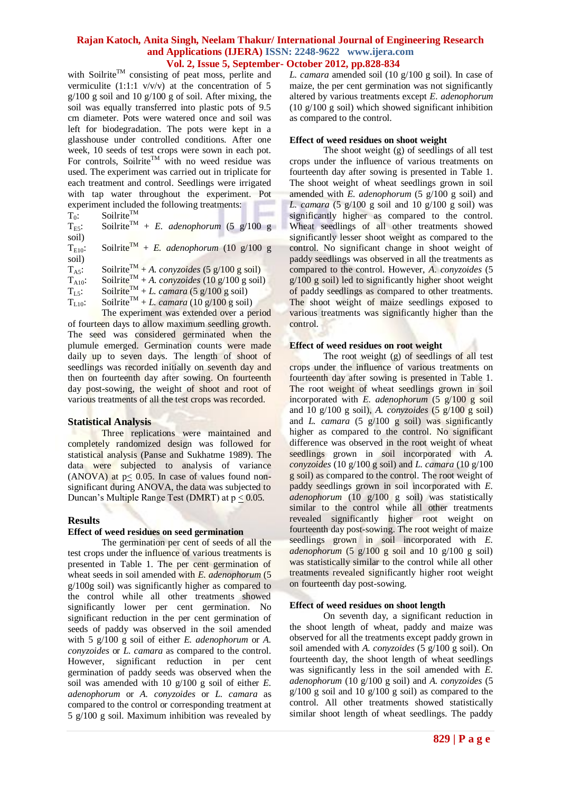with Soilrite<sup>TM</sup> consisting of peat moss, perlite and vermiculite  $(1:1:1 \text{ v/v/v})$  at the concentration of 5  $g/100$  g soil and 10  $g/100$  g of soil. After mixing, the soil was equally transferred into plastic pots of 9.5 cm diameter. Pots were watered once and soil was left for biodegradation. The pots were kept in a glasshouse under controlled conditions. After one week, 10 seeds of test crops were sown in each pot. For controls, Soilrite<sup>TM</sup> with no weed residue was used. The experiment was carried out in triplicate for each treatment and control. Seedlings were irrigated with tap water throughout the experiment. Pot experiment included the following treatments:

 $T_0$ : Soilrite<sup>TM</sup>

 $T_{ES}$ : Soilrite<sup>TM</sup> + *E. adenophorum* (5 g/100 g soil)

 $T_{E10}$ : Soilrite<sup>TM</sup> + *E. adenophorum* (10 g/100 g

soil)

 $T_{\text{As}}$ : Soilrite<sup>TM</sup> + *A. conyzoides* (5 g/100 g soil)

 $T_{A10}$ : Soilrite<sup>TM</sup> + *A. conyzoides* (10 g/100 g soil)

 $T_{LS}$ : Soilrite<sup>TM</sup> + *L. camara* (5 g/100 g soil)

 $T_{L5}$ : Soilrite<sup>TM</sup> + *L. camara* (5 g/100 g soil)<br> $T_{L10}$ : Soilrite<sup>TM</sup> + *L. camara* (10 g/100 g soil)

The experiment was extended over a period of fourteen days to allow maximum seedling growth. The seed was considered germinated when the plumule emerged. Germination counts were made daily up to seven days. The length of shoot of seedlings was recorded initially on seventh day and then on fourteenth day after sowing. On fourteenth day post-sowing, the weight of shoot and root of various treatments of all the test crops was recorded.

# **Statistical Analysis**

Three replications were maintained and completely randomized design was followed for statistical analysis (Panse and Sukhatme 1989). The data were subjected to analysis of variance (ANOVA) at  $p \le 0.05$ . In case of values found nonsignificant during ANOVA, the data was subjected to Duncan's Multiple Range Test (DMRT) at  $p < 0.05$ .

# **Results**

## **Effect of weed residues on seed germination**

The germination per cent of seeds of all the test crops under the influence of various treatments is presented in Table 1. The per cent germination of wheat seeds in soil amended with *E. adenophorum* (5 g/100g soil) was significantly higher as compared to the control while all other treatments showed significantly lower per cent germination. No significant reduction in the per cent germination of seeds of paddy was observed in the soil amended with 5 g/100 g soil of either *E. adenophorum* or *A. conyzoides* or *L. camara* as compared to the control. However, significant reduction in per cent germination of paddy seeds was observed when the soil was amended with 10 g/100 g soil of either *E. adenophorum* or *A. conyzoides* or *L. camara* as compared to the control or corresponding treatment at 5 g/100 g soil. Maximum inhibition was revealed by *L. camara* amended soil (10 g/100 g soil). In case of maize, the per cent germination was not significantly altered by various treatments except *E. adenophorum* (10 g/100 g soil) which showed significant inhibition as compared to the control.

## **Effect of weed residues on shoot weight**

The shoot weight (g) of seedlings of all test crops under the influence of various treatments on fourteenth day after sowing is presented in Table 1. The shoot weight of wheat seedlings grown in soil amended with *E. adenophorum* (5 g/100 g soil) and *L. camara* (5  $g/100$  g soil and 10  $g/100$  g soil) was significantly higher as compared to the control. Wheat seedlings of all other treatments showed significantly lesser shoot weight as compared to the control. No significant change in shoot weight of paddy seedlings was observed in all the treatments as compared to the control. However, *A. conyzoides* (5  $g/100$  g soil) led to significantly higher shoot weight of paddy seedlings as compared to other treatments. The shoot weight of maize seedlings exposed to various treatments was significantly higher than the control.

## **Effect of weed residues on root weight**

The root weight  $(g)$  of seedlings of all test crops under the influence of various treatments on fourteenth day after sowing is presented in Table 1. The root weight of wheat seedlings grown in soil incorporated with *E. adenophorum* (5 g/100 g soil and 10 g/100 g soil), *A. conyzoides* (5 g/100 g soil) and *L. camara* (5 g/100 g soil) was significantly higher as compared to the control. No significant difference was observed in the root weight of wheat seedlings grown in soil incorporated with *A. conyzoides* (10 g/100 g soil) and *L. camara* (10 g/100 g soil) as compared to the control. The root weight of paddy seedlings grown in soil incorporated with *E. adenophorum* (10 g/100 g soil) was statistically similar to the control while all other treatments revealed significantly higher root weight on fourteenth day post-sowing. The root weight of maize seedlings grown in soil incorporated with *E. adenophorum* (5  $g/100 g$  soil and 10  $g/100 g$  soil) was statistically similar to the control while all other treatments revealed significantly higher root weight on fourteenth day post-sowing.

## **Effect of weed residues on shoot length**

On seventh day, a significant reduction in the shoot length of wheat, paddy and maize was observed for all the treatments except paddy grown in soil amended with *A. conyzoides* (5 g/100 g soil). On fourteenth day, the shoot length of wheat seedlings was significantly less in the soil amended with *E. adenophorum* (10 g/100 g soil) and *A. conyzoides* (5  $g/100$  g soil and 10  $g/100$  g soil) as compared to the control. All other treatments showed statistically similar shoot length of wheat seedlings. The paddy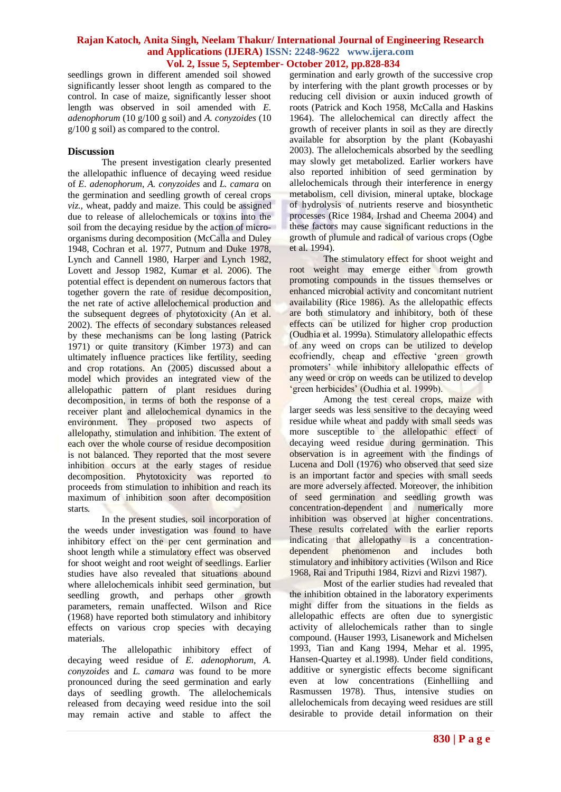seedlings grown in different amended soil showed significantly lesser shoot length as compared to the control. In case of maize, significantly lesser shoot length was observed in soil amended with *E. adenophorum* (10 g/100 g soil) and *A. conyzoides* (10 g/100 g soil) as compared to the control.

## **Discussion**

The present investigation clearly presented the allelopathic influence of decaying weed residue of *E. adenophorum*, *A. conyzoides* and *L. camara* on the germination and seedling growth of cereal crops *viz.,* wheat, paddy and maize. This could be assigned due to release of allelochemicals or toxins into the soil from the decaying residue by the action of microorganisms during decomposition (McCalla and Duley 1948, Cochran et al. 1977, Putnum and Duke 1978, Lynch and Cannell 1980, Harper and Lynch 1982, Lovett and Jessop 1982, Kumar et al. 2006). The potential effect is dependent on numerous factors that together govern the rate of residue decomposition, the net rate of active allelochemical production and the subsequent degrees of phytotoxicity (An et al. 2002). The effects of secondary substances released by these mechanisms can be long lasting (Patrick 1971) or quite transitory (Kimber 1973) and can ultimately influence practices like fertility, seeding and crop rotations. An (2005) discussed about a model which provides an integrated view of the allelopathic pattern of plant residues during decomposition, in terms of both the response of a receiver plant and allelochemical dynamics in the environment. They proposed two aspects of allelopathy, stimulation and inhibition. The extent of each over the whole course of residue decomposition is not balanced. They reported that the most severe inhibition occurs at the early stages of residue decomposition. Phytotoxicity was reported to proceeds from stimulation to inhibition and reach its maximum of inhibition soon after decomposition starts.

In the present studies, soil incorporation of the weeds under investigation was found to have inhibitory effect on the per cent germination and shoot length while a stimulatory effect was observed for shoot weight and root weight of seedlings. Earlier studies have also revealed that situations abound where allelochemicals inhibit seed germination, but seedling growth, and perhaps other growth parameters, remain unaffected. Wilson and Rice (1968) have reported both stimulatory and inhibitory effects on various crop species with decaying materials.

The allelopathic inhibitory effect of decaying weed residue of *E. adenophorum*, *A. conyzoides* and *L. camara* was found to be more pronounced during the seed germination and early days of seedling growth. The allelochemicals released from decaying weed residue into the soil may remain active and stable to affect the

germination and early growth of the successive crop by interfering with the plant growth processes or by reducing cell division or auxin induced growth of roots (Patrick and Koch 1958, McCalla and Haskins 1964). The allelochemical can directly affect the growth of receiver plants in soil as they are directly available for absorption by the plant (Kobayashi 2003). The allelochemicals absorbed by the seedling may slowly get metabolized. Earlier workers have also reported inhibition of seed germination by allelochemicals through their interference in energy metabolism, cell division, mineral uptake, blockage of hydrolysis of nutrients reserve and biosynthetic processes (Rice 1984, Irshad and Cheema 2004) and these factors may cause significant reductions in the growth of plumule and radical of various crops (Ogbe et al. 1994).

The stimulatory effect for shoot weight and root weight may emerge either from growth promoting compounds in the tissues themselves or enhanced microbial activity and concomitant nutrient availability (Rice 1986). As the allelopathic effects are both stimulatory and inhibitory, both of these effects can be utilized for higher crop production (Oudhia et al. 1999a). Stimulatory allelopathic effects of any weed on crops can be utilized to develop ecofriendly, cheap and effective 'green growth promoters' while inhibitory allelopathic effects of any weed or crop on weeds can be utilized to develop 'green herbicides' (Oudhia et al. 1999b).

Among the test cereal crops, maize with larger seeds was less sensitive to the decaying weed residue while wheat and paddy with small seeds was more susceptible to the allelopathic effect of decaying weed residue during germination. This observation is in agreement with the findings of Lucena and Doll (1976) who observed that seed size is an important factor and species with small seeds are more adversely affected. Moreover, the inhibition of seed germination and seedling growth was concentration-dependent and numerically more inhibition was observed at higher concentrations. These results correlated with the earlier reports indicating that allelopathy is a concentrationdependent phenomenon and includes both stimulatory and inhibitory activities (Wilson and Rice 1968, Rai and Triputhi 1984, Rizvi and Rizvi 1987).

Most of the earlier studies had revealed that the inhibition obtained in the laboratory experiments might differ from the situations in the fields as allelopathic effects are often due to synergistic activity of allelochemicals rather than to single compound. (Hauser 1993, Lisanework and Michelsen 1993, Tian and Kang 1994, Mehar et al. 1995, Hansen-Quartey et al.1998). Under field conditions, additive or synergistic effects become significant even at low concentrations (Einhelliing and Rasmussen 1978). Thus, intensive studies on allelochemicals from decaying weed residues are still desirable to provide detail information on their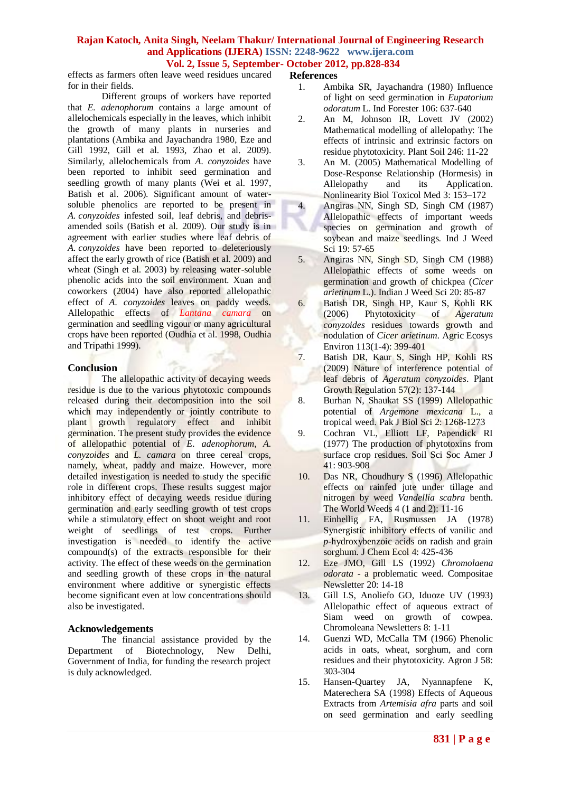effects as farmers often leave weed residues uncared for in their fields.

Different groups of workers have reported that *E. adenophorum* contains a large amount of allelochemicals especially in the leaves, which inhibit the growth of many plants in nurseries and plantations (Ambika and Jayachandra 1980, Eze and Gill 1992, Gill et al. 1993, Zhao et al. 2009). Similarly, allelochemicals from *A. conyzoides* have been reported to inhibit seed germination and seedling growth of many plants (Wei et al. 1997, Batish et al. 2006). Significant amount of watersoluble phenolics are reported to be present in *A. conyzoides* infested soil, leaf debris, and debrisamended soils (Batish et al. 2009). Our study is in agreement with earlier studies where leaf debris of *A. conyzoides* have been reported to deleteriously affect the early growth of rice (Batish et al. 2009) and wheat (Singh et al. 2003) by releasing water-soluble phenolic acids into the soil environment. Xuan and coworkers (2004) have also reported allelopathic effect of *A. conyzoides* leaves on paddy weeds. Allelopathic effects of *Lantana camara* on germination and seedling vigour or many agricultural crops have been reported (Oudhia et al. 1998, Oudhia and Tripathi 1999).

## **Conclusion**

The allelopathic activity of decaying weeds residue is due to the various phytotoxic compounds released during their decomposition into the soil which may independently or jointly contribute to plant growth regulatory effect and inhibit germination. The present study provides the evidence of allelopathic potential of *E. adenophorum*, *A. conyzoides* and *L. camara* on three cereal crops, namely, wheat, paddy and maize. However, more detailed investigation is needed to study the specific role in different crops. These results suggest major inhibitory effect of decaying weeds residue during germination and early seedling growth of test crops while a stimulatory effect on shoot weight and root weight of seedlings of test crops. Further investigation is needed to identify the active compound(s) of the extracts responsible for their activity. The effect of these weeds on the germination and seedling growth of these crops in the natural environment where additive or synergistic effects become significant even at low concentrations should also be investigated.

# **Acknowledgements**

The financial assistance provided by the Department of Biotechnology, New Delhi, Government of India, for funding the research project is duly acknowledged.

## **References**

- 1. Ambika SR, Jayachandra (1980) Influence of light on seed germination in *Eupatorium odoratum* L. Ind Forester 106: 637-640
- 2. An M, Johnson IR, Lovett JV (2002) Mathematical modelling of allelopathy: The effects of intrinsic and extrinsic factors on residue phytotoxicity. Plant Soil 246: 11-22
- 3. An M. (2005) Mathematical Modelling of Dose-Response Relationship (Hormesis) in Allelopathy and its Application. Nonlinearity Biol Toxicol Med 3: 153–172
- 4. Angiras NN, Singh SD, Singh CM (1987) Allelopathic effects of important weeds species on germination and growth of soybean and maize seedlings. Ind J Weed Sci 19: 57-65
- 5. Angiras NN, Singh SD, Singh CM (1988) Allelopathic effects of some weeds on germination and growth of chickpea (*Cicer arietinum* L.). Indian J Weed Sci 20: 85-87
- 6. Batish DR, Singh HP, Kaur S, Kohli RK (2006) Phytotoxicity of *Ageratum conyzoides* residues towards growth and nodulation of *Cicer arietinum*. Agric Ecosys Environ 113(1-4): 399-401
- 7. Batish DR, Kaur S, Singh HP, Kohli RS (2009) Nature of interference potential of leaf debris of *Ageratum conyzoides*. [Plant](http://www.springerlink.com/content/100329/?p=d358607cd2754b6e9adaf9aaddf810b7&pi=0)  [Growth Regulation](http://www.springerlink.com/content/100329/?p=d358607cd2754b6e9adaf9aaddf810b7&pi=0) 57(2): 137-144
- 8. Burhan N, Shaukat SS (1999) Allelopathic potential of *Argemone mexicana* L., a tropical weed. Pak J Biol Sci 2: 1268-1273
- 9. Cochran VL, Elliott LF, Papendick RI (1977) The production of phytotoxins from surface crop residues. Soil Sci Soc Amer J 41: 903-908
- 10. Das NR, Choudhury S (1996) Allelopathic effects on rainfed jute under tillage and nitrogen by weed *Vandellia scabra* benth. The World Weeds 4 (1 and 2): 11-16
- 11. Einhellig FA, Rusmussen JA (1978) Synergistic inhibitory effects of vanilic and *p*-hydroxybenzoic acids on radish and grain sorghum. J Chem Ecol 4: 425-436
- 12. Eze JMO, Gill LS (1992) *Chromolaena odorata* - a problematic weed. Compositae Newsletter 20: 14-18
- 13. Gill LS, Anoliefo GO, Iduoze UV (1993) Allelopathic effect of aqueous extract of Siam weed on growth of cowpea. Chromoleana Newsletters 8: 1-11
- 14. Guenzi WD, McCalla TM (1966) Phenolic acids in oats, wheat, sorghum, and corn residues and their phytotoxicity. Agron J 58: 303-304
- 15. Hansen-Quartey JA, Nyannapfene K, Materechera SA (1998) Effects of Aqueous Extracts from *Artemisia afra* parts and soil on seed germination and early seedling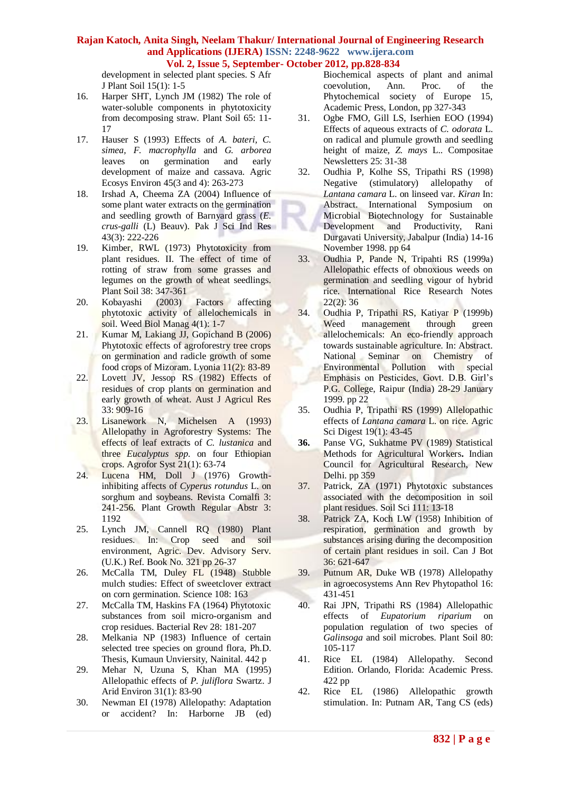development in selected plant species. S Afr J Plant Soil 15(1): 1-5

- 16. Harper SHT, Lynch JM (1982) The role of water-soluble components in phytotoxicity from decomposing straw. Plant Soil 65: 11- 17
- 17. Hauser S (1993) Effects of *A. bateri, C. simea, F. macrophylla* and *G. arborea*  leaves on germination and early development of maize and cassava. Agric Ecosys Environ 45(3 and 4): 263-273
- 18. Irshad A, Cheema ZA (2004) Influence of some plant water extracts on the germination and seedling growth of Barnyard grass (*E. crus-galli* (L) Beauv). Pak J Sci Ind Res 43(3): 222-226
- 19. Kimber, RWL (1973) Phytotoxicity from plant residues. II. The effect of time of rotting of straw from some grasses and legumes on the growth of wheat seedlings. Plant Soil 38: 347-361
- 20. Kobayashi (2003) Factors affecting phytotoxic activity of allelochemicals in soil. Weed Biol Manag 4(1): 1-7
- 21. Kumar M, Lakiang JJ, Gopichand B (2006) Phytotoxic effects of agroforestry tree crops on germination and radicle growth of some food crops of Mizoram. Lyonia 11(2): 83-89
- 22. Lovett JV, Jessop RS (1982) Effects of residues of crop plants on germination and early growth of wheat. Aust J Agricul Res 33: 909-16
- 23. Lisanework N, Michelsen A (1993) Allelopathy in Agroforestry Systems: The effects of leaf extracts of *C. lustanica* and three *Eucalyptus spp.* on four Ethiopian crops. Agrofor Syst 21(1): 63-74
- 24. Lucena HM, Doll J (1976) Growthinhibiting affects of *Cyperus rotundus* L. on sorghum and soybeans. Revista Comalfi 3: 241-256. Plant Growth Regular Abstr 3: 1192
- 25. Lynch JM, Cannell RQ (1980) Plant residues. In: Crop seed and soil environment, Agric. Dev. Advisory Serv. (U.K.) Ref. Book No. 321 pp 26-37
- 26. McCalla TM, Duley FL (1948) Stubble mulch studies: Effect of sweetclover extract on corn germination. Science 108: 163
- 27. McCalla TM, Haskins FA (1964) Phytotoxic substances from soil micro-organism and crop residues. Bacterial Rev 28: 181-207
- 28. Melkania NP (1983) Influence of certain selected tree species on ground flora, Ph.D. Thesis, Kumaun Unviersity, Nainital. 442 p
- 29. Mehar N, Uzuna S, Khan MA (1995) Allelopathic effects of *P. juliflora* Swartz. J Arid Environ 31(1): 83-90
- 30. Newman EI (1978) Allelopathy: Adaptation or accident? In: Harborne JB (ed)

Biochemical aspects of plant and animal coevolution, Ann. Proc. of the Phytochemical society of Europe 15, Academic Press, London, pp 327-343

- 31. Ogbe FMO, Gill LS, Iserhien EOO (1994) Effects of aqueous extracts of *C. odorata* L. on radical and plumule growth and seedling height of maize, *Z. mays* L.. Compositae Newsletters 25: 31-38
- 32. Oudhia P, Kolhe SS, Tripathi RS (1998) Negative (stimulatory) allelopathy of *Lantana camara* L. on linseed var. *Kiran* In: Abstract. International Symposium on Microbial Biotechnology for Sustainable Development and Productivity, Rani Durgavati University, Jabalpur (India) 14-16 November 1998. pp 64
- 33. Oudhia P, Pande N, Tripahti RS (1999a) Allelopathic effects of obnoxious weeds on germination and seedling vigour of hybrid rice. International Rice Research Notes 22(2): 36
- 34. Oudhia P, Tripathi RS, Katiyar P (1999b) Weed management through green allelochemicals: An eco-friendly approach towards sustainable agriculture. In: Abstract. National Seminar on Chemistry of Environmental Pollution with special Emphasis on Pesticides, Govt. D.B. Girl's P.G. College, Raipur (India) 28-29 January 1999. pp 22
- 35. Oudhia P, Tripathi RS (1999) Allelopathic effects of *Lantana camara* L. on rice. Agric Sci Digest 19(1): 43-45
- **36.** Panse VG, Sukhatme PV (1989) Statistical Methods for Agricultural Workers**.** Indian Council for Agricultural Research, New Delhi. pp 359
- 37. Patrick, ZA (1971) Phytotoxic substances associated with the decomposition in soil plant residues. Soil Sci 111: 13-18
- 38. Patrick ZA, Koch LW (1958) Inhibition of respiration, germination and growth by substances arising during the decomposition of certain plant residues in soil. Can J Bot 36: 621-647
- 39. Putnum AR, Duke WB (1978) Allelopathy in agroecosystems Ann Rev Phytopathol 16: 431-451
- 40. Rai JPN, Tripathi RS (1984) Allelopathic effects of *Eupatorium riparium* on population regulation of two species of *Galinsoga* and soil microbes. Plant Soil 80: 105-117
- 41. Rice EL (1984) Allelopathy. Second Edition. Orlando, Florida: Academic Press. 422 pp
- 42. Rice EL (1986) Allelopathic growth stimulation. In: Putnam AR, Tang CS (eds)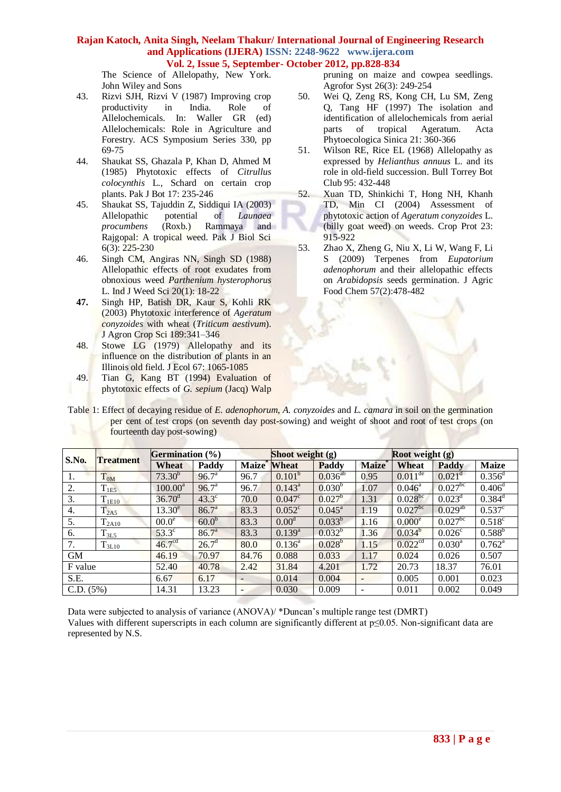The Science of Allelopathy, New York. John Wiley and Sons

- 43. Rizvi SJH, Rizvi V (1987) Improving crop productivity in India. Role of Allelochemicals. In: Waller GR (ed) Allelochemicals: Role in Agriculture and Forestry. ACS Symposium Series 330, pp 69-75
- 44. Shaukat SS, Ghazala P, Khan D, Ahmed M (1985) Phytotoxic effects of *Citrullus colocynthis* L., Schard on certain crop plants. Pak J Bot 17: 235-246
- 45. Shaukat SS, Tajuddin Z, Siddiqui IA (2003) Allelopathic potential of *Launaea procumbens* (Roxb.) Rammaya and Rajgopal: A tropical weed. Pak J Biol Sci 6(3): 225-230
- 46. Singh CM, Angiras NN, Singh SD (1988) Allelopathic effects of root exudates from obnoxious weed *Parthenium hysterophorus* L. Ind J Weed Sci 20(1): 18-22
- **47.** Singh HP, Batish DR, Kaur S, Kohli RK (2003) Phytotoxic interference of *Ageratum conyzoides* with wheat (*Triticum aestivum*). J Agron Crop Sci 189:341–346
- 48. Stowe LG (1979) Allelopathy and its influence on the distribution of plants in an Illinois old field. J Ecol 67: 1065-1085
- 49. Tian G, Kang BT (1994) Evaluation of phytotoxic effects of *G. sepium* (Jacq) Walp

pruning on maize and cowpea seedlings. Agrofor Syst 26(3): 249-254

- 50. Wei Q, Zeng RS, Kong CH, Lu SM, Zeng Q, Tang HF (1997) The isolation and identification of allelochemicals from aerial parts of tropical Ageratum. Acta Phytoecologica Sinica 21: 360-366
- 51. Wilson RE, Rice EL (1968) Allelopathy as expressed by *Helianthus annuus* L. and its role in old-field succession. Bull Torrey Bot Club 95: 432-448
- 52. Xuan TD, Shinkichi T, Hong NH, Khanh TD, Min CI (2004) Assessment of phytotoxic action of *Ageratum conyzoides* L. (billy goat weed) on weeds. Crop Prot 23: 915-922
- 53. Zhao X, Zheng G, Niu X, Li W, Wang F, Li S (2009) Terpenes from *Eupatorium adenophorum* and their allelopathic effects on *Arabidopsis* seeds germination. J Agric Food Chem 57(2):478-482

Table 1: Effect of decaying residue of *E. adenophorum*, *A. conyzoides* and *L. camara* in soil on the germination per cent of test crops (on seventh day post-sowing) and weight of shoot and root of test crops (on fourteenth day post-sowing)

| <b>S.No.</b> | <b>Treatment</b> | Germination $(\% )$ |                   | Shoot weight $(g)$       |                   |                    | Root weight $(g)$        |                         |                       |                 |
|--------------|------------------|---------------------|-------------------|--------------------------|-------------------|--------------------|--------------------------|-------------------------|-----------------------|-----------------|
|              |                  | Wheat               | Paddy             | Maize <sup>*</sup> Wheat |                   | Paddy              | <b>Maize</b>             | Wheat                   | Paddy                 | <b>Maize</b>    |
| -1.          | $T_{0M}$         | $73.30^{b}$         | 96.7 <sup>a</sup> | 96.7                     | $0.101^b$         | $0.036^{ab}$       | 0.95                     | $0.011^{\overline{de}}$ | $0.021^d$             | $0.356^d$       |
| 2.           | $T_{1E5}$        | $100.00^a$          | 96.7 <sup>a</sup> | 96.7                     | $0.143^a$         | $0.030^{b}$        | 1.07                     | $0.046^{\circ}$         | $0.027$ <sup>bc</sup> | $0.406^d$       |
| 3.           | 11E10            | $36.70^{\circ}$     | $43.3^\circ$      | 70.0                     | $0.047^{\circ}$   | $0.027^{b}$        | 1.31                     | $0.028^{bc}$            | $0.023^d$             | $0.384^d$       |
| 4.           | $T_{2A5}$        | $13.30^e$           | 86.7 <sup>a</sup> | 83.3                     | $0.052^{\circ}$   | $0.045^{\text{a}}$ | 1.19                     | $0.027^{bc}$            | $0.029^{ab}$          | $0.537^{\circ}$ |
| 5.           | $T_{2A10}$       | 00.0 <sup>e</sup>   | 60.0 <sup>b</sup> | 83.3                     | 0.00 <sup>d</sup> | $0.033^{b}$        | 1.16                     | 0.000 <sup>e</sup>      | $0.027$ <sup>bc</sup> | $0.518^{c}$     |
| 6.           | $T_{3L5}$        | $53.3^\circ$        | 86.7 <sup>a</sup> | 83.3                     | $0.139^{a}$       | $0.032^b$          | 1.36                     | $0.034^{b}$             | 0.026 <sup>c</sup>    | $0.588^{b}$     |
| 7.           | $T_{3L10}$       | 46.7 <sup>cd</sup>  | $26.7^{\rm d}$    | 80.0                     | $0.136^{\circ}$   | $0.028^{b}$        | 1.15                     | 0.022 <sup>cd</sup>     | $0.030^{\rm a}$       | $0.762^{\rm a}$ |
| <b>GM</b>    |                  | 46.19               | 70.97             | 84.76                    | 0.088             | 0.033              | 1.17                     | 0.024                   | 0.026                 | 0.507           |
| F value      |                  | 52.40               | 40.78             | 2.42                     | 31.84             | 4.201              | 1.72                     | 20.73                   | 18.37                 | 76.01           |
| S.E.         |                  | 6.67                | 6.17              | $\overline{\phantom{a}}$ | 0.014             | 0.004              |                          | 0.005                   | 0.001                 | 0.023           |
| C.D. (5%)    |                  | 14.31               | 13.23             | $\overline{\phantom{a}}$ | 0.030             | 0.009              | $\overline{\phantom{0}}$ | 0.011                   | 0.002                 | 0.049           |

Data were subjected to analysis of variance (ANOVA)/ \*Duncan's multiple range test (DMRT) Values with different superscripts in each column are significantly different at p≤0.05. Non-significant data are represented by N.S.